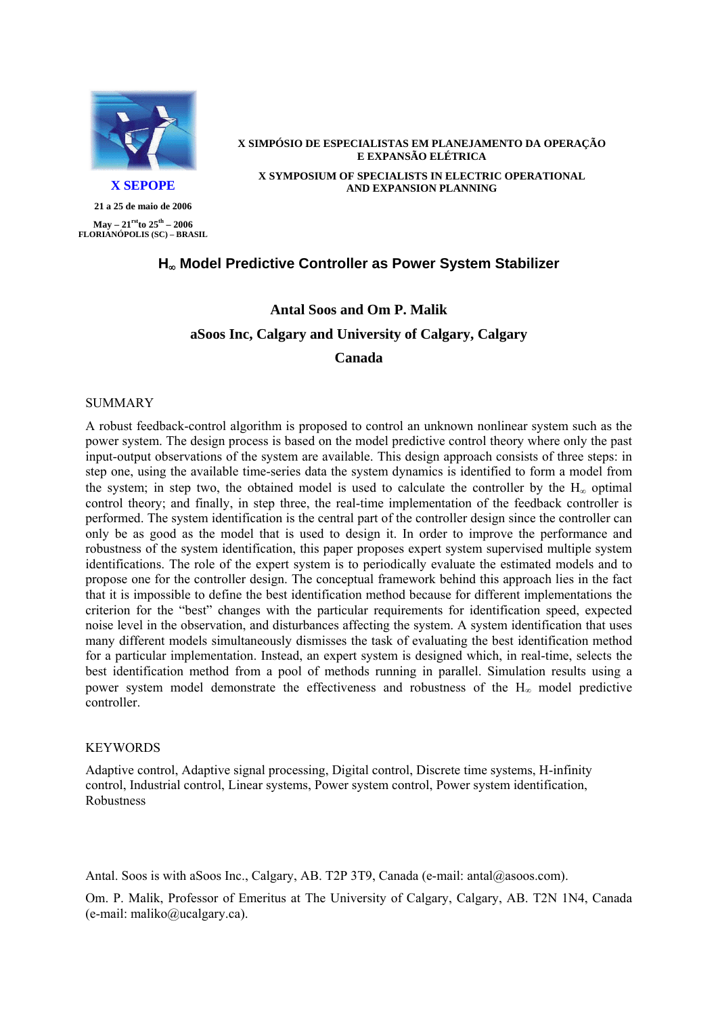

**21 a 25 de maio de 2006** 

**May – 21rst th to 25 – 2006 FLORIANÓPOLIS (SC) – BRASIL**

#### **X SIMPÓSIO DE ESPECIALISTAS EM PLANEJAMENTO DA OPERAÇÃO E EXPANSÃO ELÉTRICA X SYMPOSIUM OF SPECIALISTS IN ELECTRIC OPERATIONAL X SEPOPE AND EXPANSION PLANNING**

## **H**∞ **Model Predictive Controller as Power System Stabilizer**

# **Antal Soos and Om P. Malik aSoos Inc, Calgary and University of Calgary, Calgary Canada**

#### SUMMARY

A robust feedback-control algorithm is proposed to control an unknown nonlinear system such as the power system. The design process is based on the model predictive control theory where only the past input-output observations of the system are available. This design approach consists of three steps: in step one, using the available time-series data the system dynamics is identified to form a model from the system; in step two, the obtained model is used to calculate the controller by the  $H_{\infty}$  optimal control theory; and finally, in step three, the real-time implementation of the feedback controller is performed. The system identification is the central part of the controller design since the controller can only be as good as the model that is used to design it. In order to improve the performance and robustness of the system identification, this paper proposes expert system supervised multiple system identifications. The role of the expert system is to periodically evaluate the estimated models and to propose one for the controller design. The conceptual framework behind this approach lies in the fact that it is impossible to define the best identification method because for different implementations the criterion for the "best" changes with the particular requirements for identification speed, expected noise level in the observation, and disturbances affecting the system. A system identification that uses many different models simultaneously dismisses the task of evaluating the best identification method for a particular implementation. Instead, an expert system is designed which, in real-time, selects the best identification method from a pool of methods running in parallel. Simulation results using a power system model demonstrate the effectiveness and robustness of the  $H_{\infty}$  model predictive controller.

#### **KEYWORDS**

Adaptive control, Adaptive signal processing, Digital control, Discrete time systems, H-infinity control, Industrial control, Linear systems, Power system control, Power system identification, Robustness

Antal. Soos is with aSoos Inc., Calgary, AB. T2P 3T9, Canada (e-mail: antal@asoos.com).

Om. P. Malik, Professor of Emeritus at The University of Calgary, Calgary, AB. T2N 1N4, Canada (e-mail: maliko@ucalgary.ca).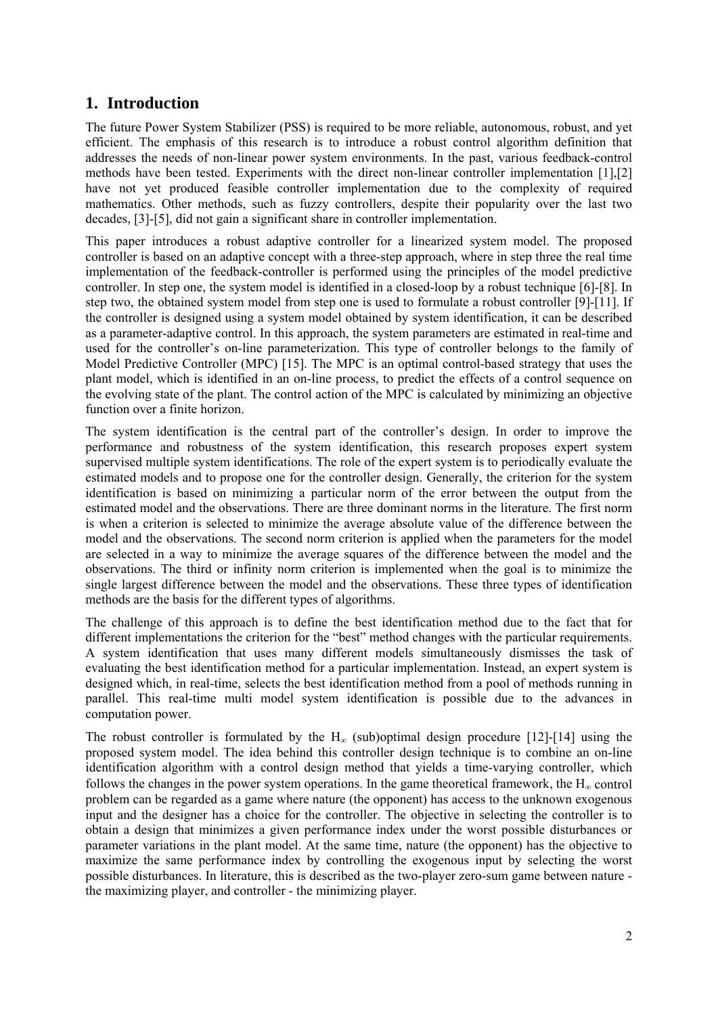## **1. Introduction**

The future Power System Stabilizer (PSS) is required to be more reliable, autonomous, robust, and yet efficient. The emphasis of this research is to introduce a robust control algorithm definition that addresses the needs of non-linear power system environments. In the past, various feedback-control methods have been tested. Experiments with the direct non-linear controller implementation [1],[2] have not yet produced feasible controller implementation due to the complexity of required mathematics. Other methods, such as fuzzy controllers, despite their popularity over the last two decades, [3]-[5], did not gain a significant share in controller implementation.

This paper introduces a robust adaptive controller for a linearized system model. The proposed controller is based on an adaptive concept with a three-step approach, where in step three the real time implementation of the feedback-controller is performed using the principles of the model predictive controller. In step one, the system model is identified in a closed-loop by a robust technique [6]-[8]. In step two, the obtained system model from step one is used to formulate a robust controller [9]-[11]. If the controller is designed using a system model obtained by system identification, it can be described as a parameter-adaptive control. In this approach, the system parameters are estimated in real-time and used for the controller's on-line parameterization. This type of controller belongs to the family of Model Predictive Controller (MPC) [15]. The MPC is an optimal control-based strategy that uses the plant model, which is identified in an on-line process, to predict the effects of a control sequence on the evolving state of the plant. The control action of the MPC is calculated by minimizing an objective function over a finite horizon.

The system identification is the central part of the controller's design. In order to improve the performance and robustness of the system identification, this research proposes expert system supervised multiple system identifications. The role of the expert system is to periodically evaluate the estimated models and to propose one for the controller design. Generally, the criterion for the system identification is based on minimizing a particular norm of the error between the output from the estimated model and the observations. There are three dominant norms in the literature. The first norm is when a criterion is selected to minimize the average absolute value of the difference between the model and the observations. The second norm criterion is applied when the parameters for the model are selected in a way to minimize the average squares of the difference between the model and the observations. The third or infinity norm criterion is implemented when the goal is to minimize the single largest difference between the model and the observations. These three types of identification methods are the basis for the different types of algorithms.

The challenge of this approach is to define the best identification method due to the fact that for different implementations the criterion for the "best" method changes with the particular requirements. A system identification that uses many different models simultaneously dismisses the task of evaluating the best identification method for a particular implementation. Instead, an expert system is designed which, in real-time, selects the best identification method from a pool of methods running in parallel. This real-time multi model system identification is possible due to the advances in computation power.

The robust controller is formulated by the  $H_{\infty}$  (sub)optimal design procedure [12]-[14] using the proposed system model. The idea behind this controller design technique is to combine an on-line identification algorithm with a control design method that yields a time-varying controller, which follows the changes in the power system operations. In the game theoretical framework, the  $H_{\infty}$  control problem can be regarded as a game where nature (the opponent) has access to the unknown exogenous input and the designer has a choice for the controller. The objective in selecting the controller is to obtain a design that minimizes a given performance index under the worst possible disturbances or parameter variations in the plant model. At the same time, nature (the opponent) has the objective to maximize the same performance index by controlling the exogenous input by selecting the worst possible disturbances. In literature, this is described as the two-player zero-sum game between nature the maximizing player, and controller - the minimizing player.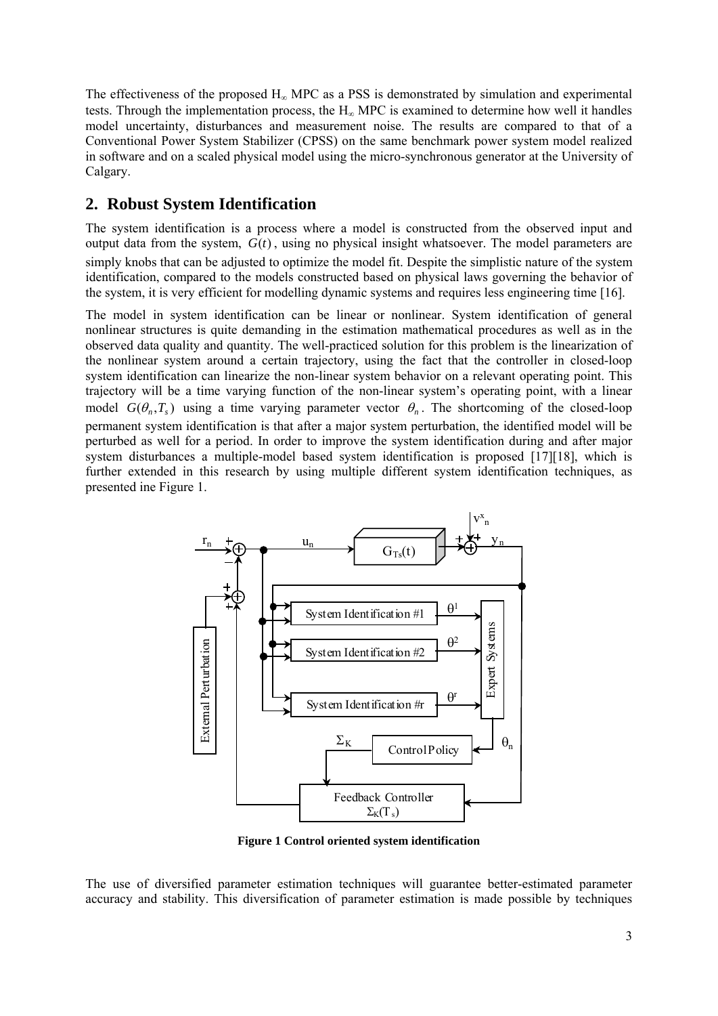The effectiveness of the proposed  $H_{\infty}$  MPC as a PSS is demonstrated by simulation and experimental tests. Through the implementation process, the  $H_{\infty}$  MPC is examined to determine how well it handles model uncertainty, disturbances and measurement noise. The results are compared to that of a Conventional Power System Stabilizer (CPSS) on the same benchmark power system model realized in software and on a scaled physical model using the micro-synchronous generator at the University of Calgary.

## **2. Robust System Identification**

The system identification is a process where a model is constructed from the observed input and output data from the system,  $G(t)$ , using no physical insight whatsoever. The model parameters are simply knobs that can be adjusted to optimize the model fit. Despite the simplistic nature of the system identification, compared to the models constructed based on physical laws governing the behavior of the system, it is very efficient for modelling dynamic systems and requires less engineering time [16].

The model in system identification can be linear or nonlinear. System identification of general nonlinear structures is quite demanding in the estimation mathematical procedures as well as in the observed data quality and quantity. The well-practiced solution for this problem is the linearization of the nonlinear system around a certain trajectory, using the fact that the controller in closed-loop system identification can linearize the non-linear system behavior on a relevant operating point. This trajectory will be a time varying function of the non-linear system's operating point, with a linear model  $G(\theta_n, T_s)$  using a time varying parameter vector  $\theta_n$ . The shortcoming of the closed-loop permanent system identification is that after a major system perturbation, the identified model will be perturbed as well for a period. In order to improve the system identification during and after major system disturbances a multiple-model based system identification is proposed [17][18], which is further extended in this research by using multiple different system identification techniques, as presented ine Figure 1.



**Figure 1 Control oriented system identification** 

The use of diversified parameter estimation techniques will guarantee better-estimated parameter accuracy and stability. This diversification of parameter estimation is made possible by techniques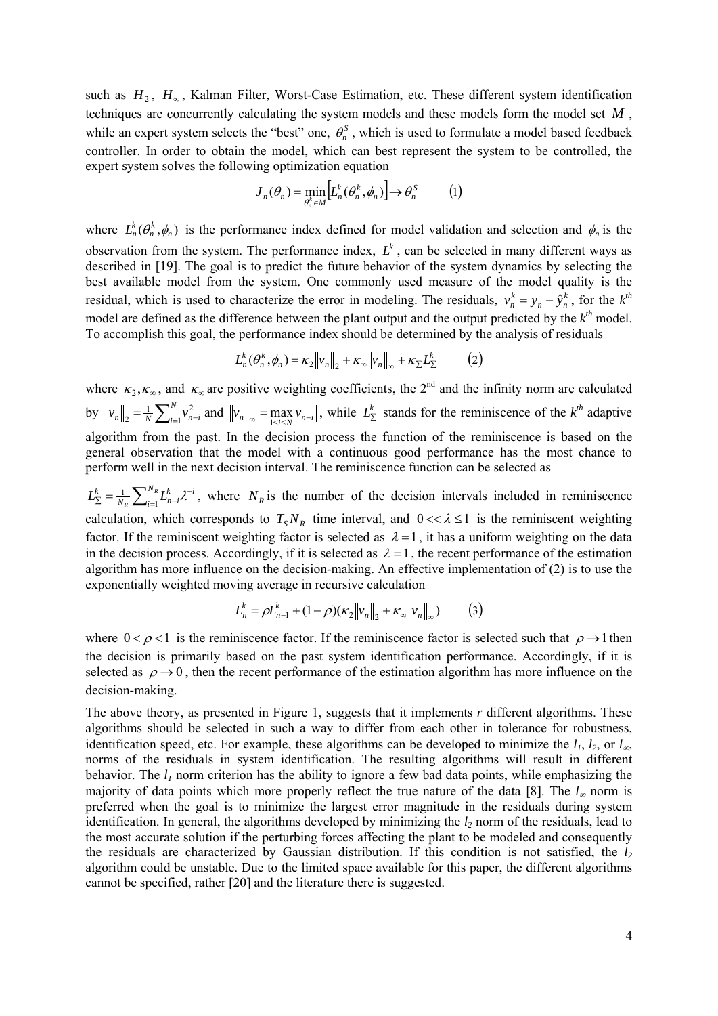such as  $H_2$ ,  $H_∞$ , Kalman Filter, Worst-Case Estimation, etc. These different system identification techniques are concurrently calculating the system models and these models form the model set *M* , while an expert system selects the "best" one,  $\theta_n^S$ , which is used to formulate a model based feedback controller. In order to obtain the model, which can best represent the system to be controlled, the expert system solves the following optimization equation

$$
J_n(\theta_n) = \min_{\theta_n^k \in M} \left[ L_n^k(\theta_n^k, \phi_n) \right] \to \theta_n^S \tag{1}
$$

where  $L_n^k(\theta_n^k, \phi_n)$  is the performance index defined for model validation and selection and  $\phi_n$  is the observation from the system. The performance index,  $L<sup>k</sup>$ , can be selected in many different ways as described in [19]. The goal is to predict the future behavior of the system dynamics by selecting the best available model from the system. One commonly used measure of the model quality is the residual, which is used to characterize the error in modeling. The residuals,  $v_n^k = y_n - \hat{y}_n^k$ , for the  $k^h$ model are defined as the difference between the plant output and the output predicted by the  $k<sup>th</sup>$  model. To accomplish this goal, the performance index should be determined by the analysis of residuals

$$
L_n^k(\theta_n^k, \phi_n) = \kappa_2 \|v_n\|_2 + \kappa_\infty \|v_n\|_\infty + \kappa_\Sigma L_\Sigma^k \tag{2}
$$

where  $\kappa_2, \kappa_{\infty}$ , and  $\kappa_{\infty}$  are positive weighting coefficients, the 2<sup>nd</sup> and the infinity norm are calculated by  $\left\|v_{n}\right\|_{2} = \frac{1}{N} \sum_{i=1}^{N} v_{n-i}^{2}$  $\sum_{i=1}^{n} \sum_{i=1}^{N} v_{n-i}^2$  and  $||v_n||_{\infty} = \max_{1 \le i \le N} |v_{n-i}|$ , while  $L_{\Sigma}^k$  stands for the reminiscence of the  $k^{th}$  adaptive algorithm from the past. In the decision process the function of the reminiscence is based on the general observation that the model with a continuous good performance has the most chance to perform well in the next decision interval. The reminiscence function can be selected as

 $N_{R}$ <sub>*I*</sub> $k$ <sup>*1*-*i*</sup> *i*  $\frac{k}{2} = \frac{1}{N_R} \sum_{i=1}^{N_R} L_{n-i}^k$  $L_{\Sigma}^{k} = \frac{1}{N_R} \sum_{i=1}^{N_R} L_{n-i}^{k} \lambda^{-i}$ , where  $N_R$  is the number of the decision intervals included in reminiscence calculation, which corresponds to  $T_s N_R$  time interval, and  $0 \ll \lambda \le 1$  is the reminiscent weighting factor. If the reminiscent weighting factor is selected as  $\lambda = 1$ , it has a uniform weighting on the data in the decision process. Accordingly, if it is selected as  $\lambda = 1$ , the recent performance of the estimation algorithm has more influence on the decision-making. An effective implementation of (2) is to use the exponentially weighted moving average in recursive calculation

$$
L_n^k = \rho L_{n-1}^k + (1 - \rho)(\kappa_2 \|v_n\|_2 + \kappa_\infty \|v_n\|_\infty)
$$
 (3)

where  $0 < \rho < 1$  is the reminiscence factor. If the reminiscence factor is selected such that  $\rho \rightarrow 1$  then the decision is primarily based on the past system identification performance. Accordingly, if it is selected as  $\rho \rightarrow 0$ , then the recent performance of the estimation algorithm has more influence on the decision-making.

The above theory, as presented in Figure 1, suggests that it implements *r* different algorithms. These algorithms should be selected in such a way to differ from each other in tolerance for robustness, identification speed, etc. For example, these algorithms can be developed to minimize the  $l_1$ ,  $l_2$ , or  $l_{\infty}$ norms of the residuals in system identification. The resulting algorithms will result in different behavior. The  $l_1$  norm criterion has the ability to ignore a few bad data points, while emphasizing the majority of data points which more properly reflect the true nature of the data [8]. The  $l_{\infty}$  norm is preferred when the goal is to minimize the largest error magnitude in the residuals during system identification. In general, the algorithms developed by minimizing the  $l_2$  norm of the residuals, lead to the most accurate solution if the perturbing forces affecting the plant to be modeled and consequently the residuals are characterized by Gaussian distribution. If this condition is not satisfied, the *l2* algorithm could be unstable. Due to the limited space available for this paper, the different algorithms cannot be specified, rather [20] and the literature there is suggested.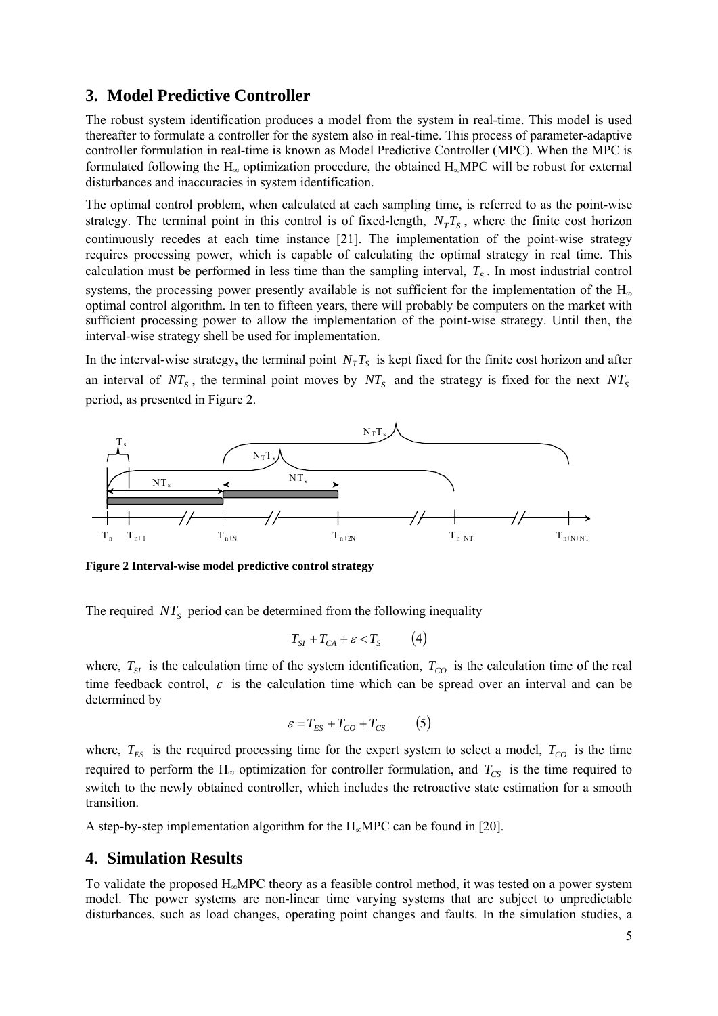### **3. Model Predictive Controller**

The robust system identification produces a model from the system in real-time. This model is used thereafter to formulate a controller for the system also in real-time. This process of parameter-adaptive controller formulation in real-time is known as Model Predictive Controller (MPC). When the MPC is formulated following the H<sub>∞</sub> optimization procedure, the obtained H<sub>∞</sub>MPC will be robust for external disturbances and inaccuracies in system identification.

The optimal control problem, when calculated at each sampling time, is referred to as the point-wise strategy. The terminal point in this control is of fixed-length,  $N_T T_s$ , where the finite cost horizon continuously recedes at each time instance [21]. The implementation of the point-wise strategy requires processing power, which is capable of calculating the optimal strategy in real time. This calculation must be performed in less time than the sampling interval,  $T<sub>S</sub>$ . In most industrial control systems, the processing power presently available is not sufficient for the implementation of the  $H_{\infty}$ optimal control algorithm. In ten to fifteen years, there will probably be computers on the market with sufficient processing power to allow the implementation of the point-wise strategy. Until then, the interval-wise strategy shell be used for implementation.

In the interval-wise strategy, the terminal point  $N_T T_S$  is kept fixed for the finite cost horizon and after an interval of  $NT_s$ , the terminal point moves by  $NT_s$  and the strategy is fixed for the next  $NT_s$ period, as presented in Figure 2.



**Figure 2 Interval-wise model predictive control strategy** 

The required  $NT<sub>S</sub>$  period can be determined from the following inequality

$$
T_{SI} + T_{CA} + \varepsilon < T_S \tag{4}
$$

where,  $T_{SI}$  is the calculation time of the system identification,  $T_{CO}$  is the calculation time of the real time feedback control,  $\varepsilon$  is the calculation time which can be spread over an interval and can be determined by

$$
\varepsilon = T_{ES} + T_{CO} + T_{CS} \tag{5}
$$

where,  $T_{ES}$  is the required processing time for the expert system to select a model,  $T_{CO}$  is the time required to perform the  $H_{\infty}$  optimization for controller formulation, and  $T_{CS}$  is the time required to switch to the newly obtained controller, which includes the retroactive state estimation for a smooth transition.

A step-by-step implementation algorithm for the Η∞MPC can be found in [20].

### **4. Simulation Results**

To validate the proposed  $H_{\infty}$ MPC theory as a feasible control method, it was tested on a power system model. The power systems are non-linear time varying systems that are subject to unpredictable disturbances, such as load changes, operating point changes and faults. In the simulation studies, a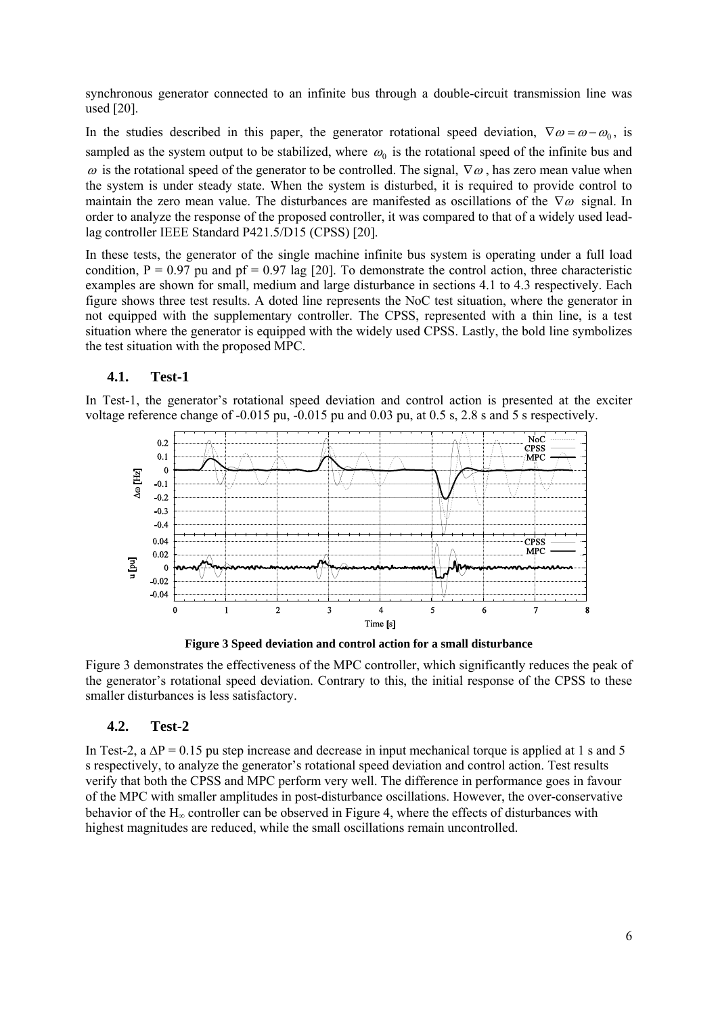synchronous generator connected to an infinite bus through a double-circuit transmission line was used [20].

In the studies described in this paper, the generator rotational speed deviation,  $\nabla \omega = \omega - \omega_0$ , is sampled as the system output to be stabilized, where  $\omega_0$  is the rotational speed of the infinite bus and ω is the rotational speed of the generator to be controlled. The signal,  $\nabla$ ω, has zero mean value when the system is under steady state. When the system is disturbed, it is required to provide control to maintain the zero mean value. The disturbances are manifested as oscillations of the  $\nabla\omega$  signal. In order to analyze the response of the proposed controller, it was compared to that of a widely used leadlag controller IEEE Standard P421.5/D15 (CPSS) [20].

In these tests, the generator of the single machine infinite bus system is operating under a full load condition,  $P = 0.97$  pu and pf = 0.97 lag [20]. To demonstrate the control action, three characteristic examples are shown for small, medium and large disturbance in sections [4.1](#page-5-0) to [4.3](#page-6-0) respectively. Each figure shows three test results. A doted line represents the NoC test situation, where the generator in not equipped with the supplementary controller. The CPSS, represented with a thin line, is a test situation where the generator is equipped with the widely used CPSS. Lastly, the bold line symbolizes the test situation with the proposed MPC.

### **4.1. Test-1**

<span id="page-5-0"></span>In Test-1, the generator's rotational speed deviation and control action is presented at the exciter voltage reference change of -0.015 pu, -0.015 pu and 0.03 pu, at 0.5 s, 2.8 s and 5 s respectively.



**Figure 3 Speed deviation and control action for a small disturbance** 

<span id="page-5-1"></span>[Figure 3](#page-5-1) demonstrates the effectiveness of the MPC controller, which significantly reduces the peak of the generator's rotational speed deviation. Contrary to this, the initial response of the CPSS to these smaller disturbances is less satisfactory.

#### **4.2. Test-2**

In Test-2, a  $\Delta P = 0.15$  pu step increase and decrease in input mechanical torque is applied at 1 s and 5 s respectively, to analyze the generator's rotational speed deviation and control action. Test results verify that both the CPSS and MPC perform very well. The difference in performance goes in favour of the MPC with smaller amplitudes in post-disturbance oscillations. However, the over-conservative behavior of the  $H_{\infty}$  controller can be observed in [Figure 4](#page-6-1), where the effects of disturbances with highest magnitudes are reduced, while the small oscillations remain uncontrolled.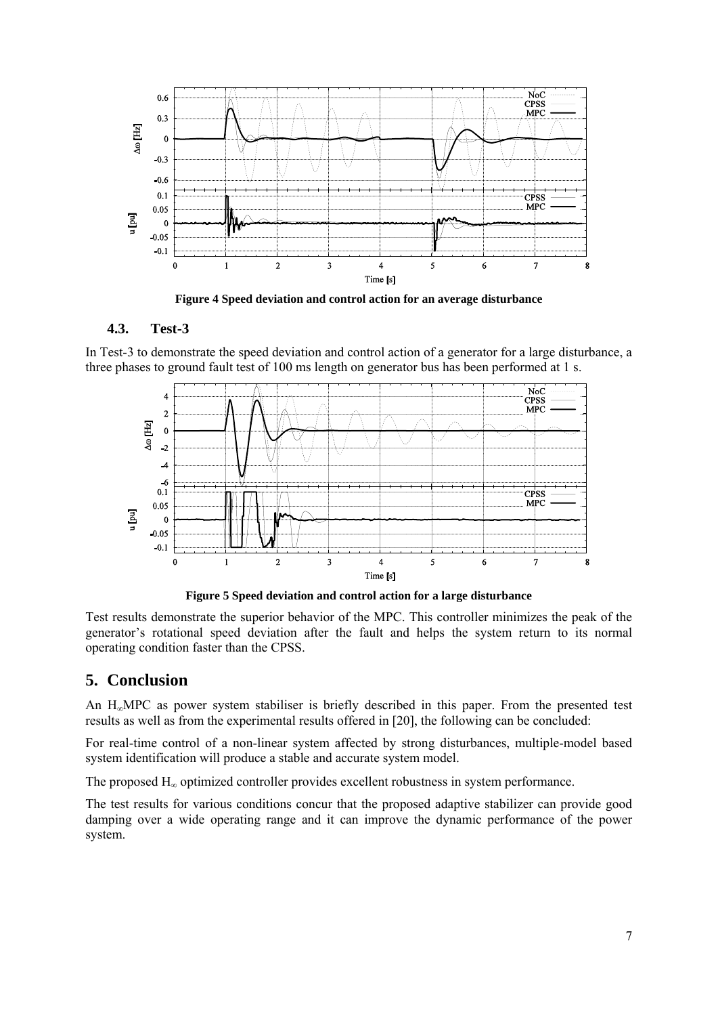

**Figure 4 Speed deviation and control action for an average disturbance** 

### **4.3. Test-3**

<span id="page-6-1"></span><span id="page-6-0"></span>In Test-3 to demonstrate the speed deviation and control action of a generator for a large disturbance, a three phases to ground fault test of 100 ms length on generator bus has been performed at 1 s.



**Figure 5 Speed deviation and control action for a large disturbance** 

Test results demonstrate the superior behavior of the MPC. This controller minimizes the peak of the generator's rotational speed deviation after the fault and helps the system return to its normal operating condition faster than the CPSS.

### **5. Conclusion**

An Η∞MPC as power system stabiliser is briefly described in this paper. From the presented test results as well as from the experimental results offered in [\[20\],](#page-7-0) the following can be concluded:

For real-time control of a non-linear system affected by strong disturbances, multiple-model based system identification will produce a stable and accurate system model.

The proposed Η∞ optimized controller provides excellent robustness in system performance.

The test results for various conditions concur that the proposed adaptive stabilizer can provide good damping over a wide operating range and it can improve the dynamic performance of the power system.